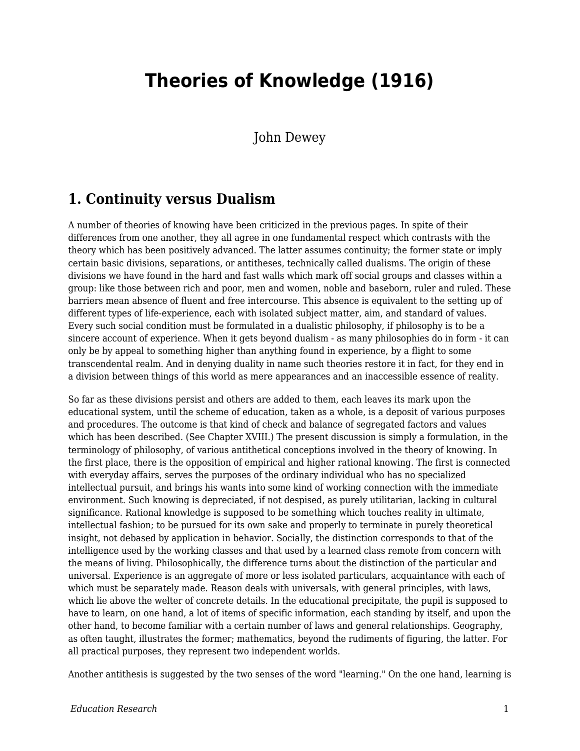## **Theories of Knowledge (1916)**

John Dewey

## **1. Continuity versus Dualism**

A number of theories of knowing have been criticized in the previous pages. In spite of their differences from one another, they all agree in one fundamental respect which contrasts with the theory which has been positively advanced. The latter assumes continuity; the former state or imply certain basic divisions, separations, or antitheses, technically called dualisms. The origin of these divisions we have found in the hard and fast walls which mark off social groups and classes within a group: like those between rich and poor, men and women, noble and baseborn, ruler and ruled. These barriers mean absence of fluent and free intercourse. This absence is equivalent to the setting up of different types of life-experience, each with isolated subject matter, aim, and standard of values. Every such social condition must be formulated in a dualistic philosophy, if philosophy is to be a sincere account of experience. When it gets beyond dualism - as many philosophies do in form - it can only be by appeal to something higher than anything found in experience, by a flight to some transcendental realm. And in denying duality in name such theories restore it in fact, for they end in a division between things of this world as mere appearances and an inaccessible essence of reality.

So far as these divisions persist and others are added to them, each leaves its mark upon the educational system, until the scheme of education, taken as a whole, is a deposit of various purposes and procedures. The outcome is that kind of check and balance of segregated factors and values which has been described. (See Chapter XVIII.) The present discussion is simply a formulation, in the terminology of philosophy, of various antithetical conceptions involved in the theory of knowing. In the first place, there is the opposition of empirical and higher rational knowing. The first is connected with everyday affairs, serves the purposes of the ordinary individual who has no specialized intellectual pursuit, and brings his wants into some kind of working connection with the immediate environment. Such knowing is depreciated, if not despised, as purely utilitarian, lacking in cultural significance. Rational knowledge is supposed to be something which touches reality in ultimate, intellectual fashion; to be pursued for its own sake and properly to terminate in purely theoretical insight, not debased by application in behavior. Socially, the distinction corresponds to that of the intelligence used by the working classes and that used by a learned class remote from concern with the means of living. Philosophically, the difference turns about the distinction of the particular and universal. Experience is an aggregate of more or less isolated particulars, acquaintance with each of which must be separately made. Reason deals with universals, with general principles, with laws, which lie above the welter of concrete details. In the educational precipitate, the pupil is supposed to have to learn, on one hand, a lot of items of specific information, each standing by itself, and upon the other hand, to become familiar with a certain number of laws and general relationships. Geography, as often taught, illustrates the former; mathematics, beyond the rudiments of figuring, the latter. For all practical purposes, they represent two independent worlds.

Another antithesis is suggested by the two senses of the word "learning." On the one hand, learning is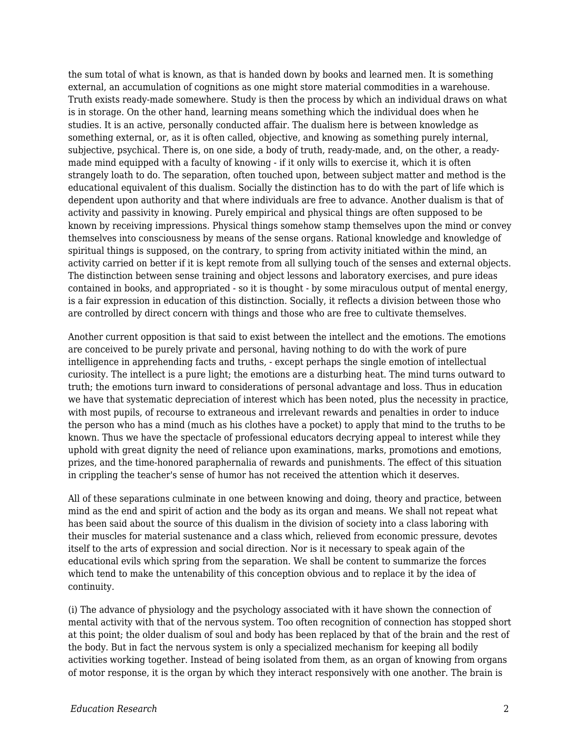the sum total of what is known, as that is handed down by books and learned men. It is something external, an accumulation of cognitions as one might store material commodities in a warehouse. Truth exists ready-made somewhere. Study is then the process by which an individual draws on what is in storage. On the other hand, learning means something which the individual does when he studies. It is an active, personally conducted affair. The dualism here is between knowledge as something external, or, as it is often called, objective, and knowing as something purely internal, subjective, psychical. There is, on one side, a body of truth, ready-made, and, on the other, a readymade mind equipped with a faculty of knowing - if it only wills to exercise it, which it is often strangely loath to do. The separation, often touched upon, between subject matter and method is the educational equivalent of this dualism. Socially the distinction has to do with the part of life which is dependent upon authority and that where individuals are free to advance. Another dualism is that of activity and passivity in knowing. Purely empirical and physical things are often supposed to be known by receiving impressions. Physical things somehow stamp themselves upon the mind or convey themselves into consciousness by means of the sense organs. Rational knowledge and knowledge of spiritual things is supposed, on the contrary, to spring from activity initiated within the mind, an activity carried on better if it is kept remote from all sullying touch of the senses and external objects. The distinction between sense training and object lessons and laboratory exercises, and pure ideas contained in books, and appropriated - so it is thought - by some miraculous output of mental energy, is a fair expression in education of this distinction. Socially, it reflects a division between those who are controlled by direct concern with things and those who are free to cultivate themselves.

Another current opposition is that said to exist between the intellect and the emotions. The emotions are conceived to be purely private and personal, having nothing to do with the work of pure intelligence in apprehending facts and truths, - except perhaps the single emotion of intellectual curiosity. The intellect is a pure light; the emotions are a disturbing heat. The mind turns outward to truth; the emotions turn inward to considerations of personal advantage and loss. Thus in education we have that systematic depreciation of interest which has been noted, plus the necessity in practice, with most pupils, of recourse to extraneous and irrelevant rewards and penalties in order to induce the person who has a mind (much as his clothes have a pocket) to apply that mind to the truths to be known. Thus we have the spectacle of professional educators decrying appeal to interest while they uphold with great dignity the need of reliance upon examinations, marks, promotions and emotions, prizes, and the time-honored paraphernalia of rewards and punishments. The effect of this situation in crippling the teacher's sense of humor has not received the attention which it deserves.

All of these separations culminate in one between knowing and doing, theory and practice, between mind as the end and spirit of action and the body as its organ and means. We shall not repeat what has been said about the source of this dualism in the division of society into a class laboring with their muscles for material sustenance and a class which, relieved from economic pressure, devotes itself to the arts of expression and social direction. Nor is it necessary to speak again of the educational evils which spring from the separation. We shall be content to summarize the forces which tend to make the untenability of this conception obvious and to replace it by the idea of continuity.

(i) The advance of physiology and the psychology associated with it have shown the connection of mental activity with that of the nervous system. Too often recognition of connection has stopped short at this point; the older dualism of soul and body has been replaced by that of the brain and the rest of the body. But in fact the nervous system is only a specialized mechanism for keeping all bodily activities working together. Instead of being isolated from them, as an organ of knowing from organs of motor response, it is the organ by which they interact responsively with one another. The brain is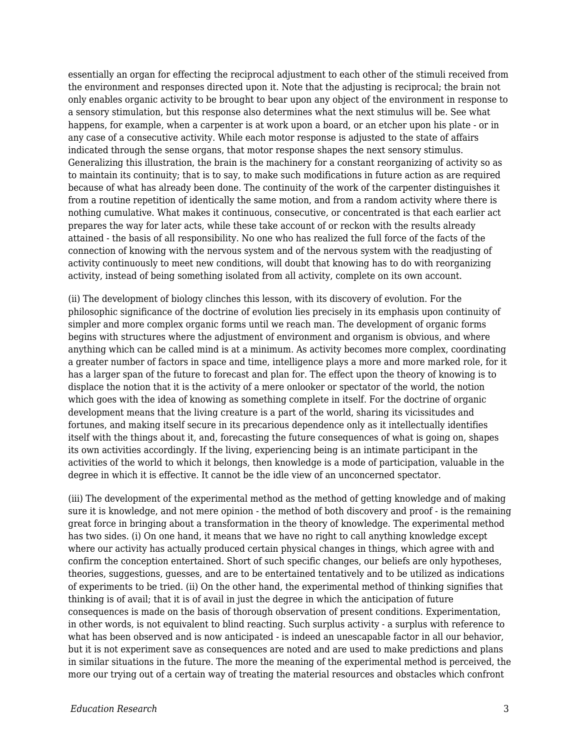essentially an organ for effecting the reciprocal adjustment to each other of the stimuli received from the environment and responses directed upon it. Note that the adjusting is reciprocal; the brain not only enables organic activity to be brought to bear upon any object of the environment in response to a sensory stimulation, but this response also determines what the next stimulus will be. See what happens, for example, when a carpenter is at work upon a board, or an etcher upon his plate - or in any case of a consecutive activity. While each motor response is adjusted to the state of affairs indicated through the sense organs, that motor response shapes the next sensory stimulus. Generalizing this illustration, the brain is the machinery for a constant reorganizing of activity so as to maintain its continuity; that is to say, to make such modifications in future action as are required because of what has already been done. The continuity of the work of the carpenter distinguishes it from a routine repetition of identically the same motion, and from a random activity where there is nothing cumulative. What makes it continuous, consecutive, or concentrated is that each earlier act prepares the way for later acts, while these take account of or reckon with the results already attained - the basis of all responsibility. No one who has realized the full force of the facts of the connection of knowing with the nervous system and of the nervous system with the readjusting of activity continuously to meet new conditions, will doubt that knowing has to do with reorganizing activity, instead of being something isolated from all activity, complete on its own account.

(ii) The development of biology clinches this lesson, with its discovery of evolution. For the philosophic significance of the doctrine of evolution lies precisely in its emphasis upon continuity of simpler and more complex organic forms until we reach man. The development of organic forms begins with structures where the adjustment of environment and organism is obvious, and where anything which can be called mind is at a minimum. As activity becomes more complex, coordinating a greater number of factors in space and time, intelligence plays a more and more marked role, for it has a larger span of the future to forecast and plan for. The effect upon the theory of knowing is to displace the notion that it is the activity of a mere onlooker or spectator of the world, the notion which goes with the idea of knowing as something complete in itself. For the doctrine of organic development means that the living creature is a part of the world, sharing its vicissitudes and fortunes, and making itself secure in its precarious dependence only as it intellectually identifies itself with the things about it, and, forecasting the future consequences of what is going on, shapes its own activities accordingly. If the living, experiencing being is an intimate participant in the activities of the world to which it belongs, then knowledge is a mode of participation, valuable in the degree in which it is effective. It cannot be the idle view of an unconcerned spectator.

(iii) The development of the experimental method as the method of getting knowledge and of making sure it is knowledge, and not mere opinion - the method of both discovery and proof - is the remaining great force in bringing about a transformation in the theory of knowledge. The experimental method has two sides. (i) On one hand, it means that we have no right to call anything knowledge except where our activity has actually produced certain physical changes in things, which agree with and confirm the conception entertained. Short of such specific changes, our beliefs are only hypotheses, theories, suggestions, guesses, and are to be entertained tentatively and to be utilized as indications of experiments to be tried. (ii) On the other hand, the experimental method of thinking signifies that thinking is of avail; that it is of avail in just the degree in which the anticipation of future consequences is made on the basis of thorough observation of present conditions. Experimentation, in other words, is not equivalent to blind reacting. Such surplus activity - a surplus with reference to what has been observed and is now anticipated - is indeed an unescapable factor in all our behavior, but it is not experiment save as consequences are noted and are used to make predictions and plans in similar situations in the future. The more the meaning of the experimental method is perceived, the more our trying out of a certain way of treating the material resources and obstacles which confront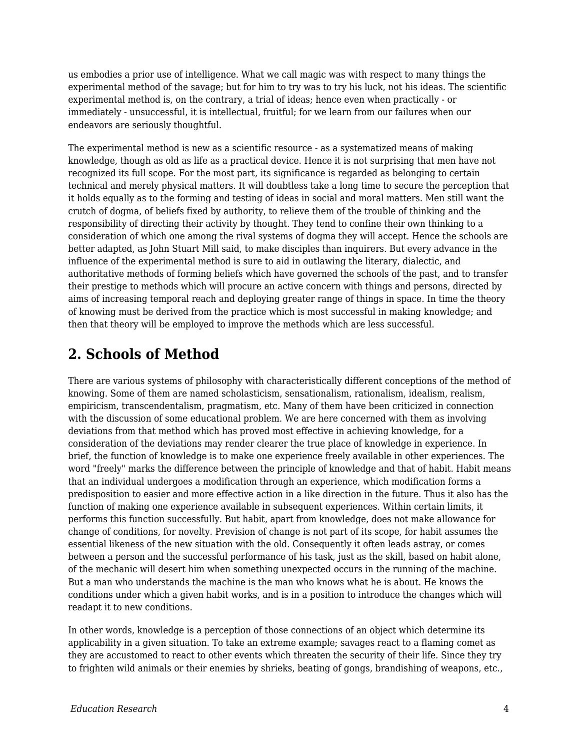us embodies a prior use of intelligence. What we call magic was with respect to many things the experimental method of the savage; but for him to try was to try his luck, not his ideas. The scientific experimental method is, on the contrary, a trial of ideas; hence even when practically - or immediately - unsuccessful, it is intellectual, fruitful; for we learn from our failures when our endeavors are seriously thoughtful.

The experimental method is new as a scientific resource - as a systematized means of making knowledge, though as old as life as a practical device. Hence it is not surprising that men have not recognized its full scope. For the most part, its significance is regarded as belonging to certain technical and merely physical matters. It will doubtless take a long time to secure the perception that it holds equally as to the forming and testing of ideas in social and moral matters. Men still want the crutch of dogma, of beliefs fixed by authority, to relieve them of the trouble of thinking and the responsibility of directing their activity by thought. They tend to confine their own thinking to a consideration of which one among the rival systems of dogma they will accept. Hence the schools are better adapted, as John Stuart Mill said, to make disciples than inquirers. But every advance in the influence of the experimental method is sure to aid in outlawing the literary, dialectic, and authoritative methods of forming beliefs which have governed the schools of the past, and to transfer their prestige to methods which will procure an active concern with things and persons, directed by aims of increasing temporal reach and deploying greater range of things in space. In time the theory of knowing must be derived from the practice which is most successful in making knowledge; and then that theory will be employed to improve the methods which are less successful.

## **2. Schools of Method**

There are various systems of philosophy with characteristically different conceptions of the method of knowing. Some of them are named scholasticism, sensationalism, rationalism, idealism, realism, empiricism, transcendentalism, pragmatism, etc. Many of them have been criticized in connection with the discussion of some educational problem. We are here concerned with them as involving deviations from that method which has proved most effective in achieving knowledge, for a consideration of the deviations may render clearer the true place of knowledge in experience. In brief, the function of knowledge is to make one experience freely available in other experiences. The word "freely" marks the difference between the principle of knowledge and that of habit. Habit means that an individual undergoes a modification through an experience, which modification forms a predisposition to easier and more effective action in a like direction in the future. Thus it also has the function of making one experience available in subsequent experiences. Within certain limits, it performs this function successfully. But habit, apart from knowledge, does not make allowance for change of conditions, for novelty. Prevision of change is not part of its scope, for habit assumes the essential likeness of the new situation with the old. Consequently it often leads astray, or comes between a person and the successful performance of his task, just as the skill, based on habit alone, of the mechanic will desert him when something unexpected occurs in the running of the machine. But a man who understands the machine is the man who knows what he is about. He knows the conditions under which a given habit works, and is in a position to introduce the changes which will readapt it to new conditions.

In other words, knowledge is a perception of those connections of an object which determine its applicability in a given situation. To take an extreme example; savages react to a flaming comet as they are accustomed to react to other events which threaten the security of their life. Since they try to frighten wild animals or their enemies by shrieks, beating of gongs, brandishing of weapons, etc.,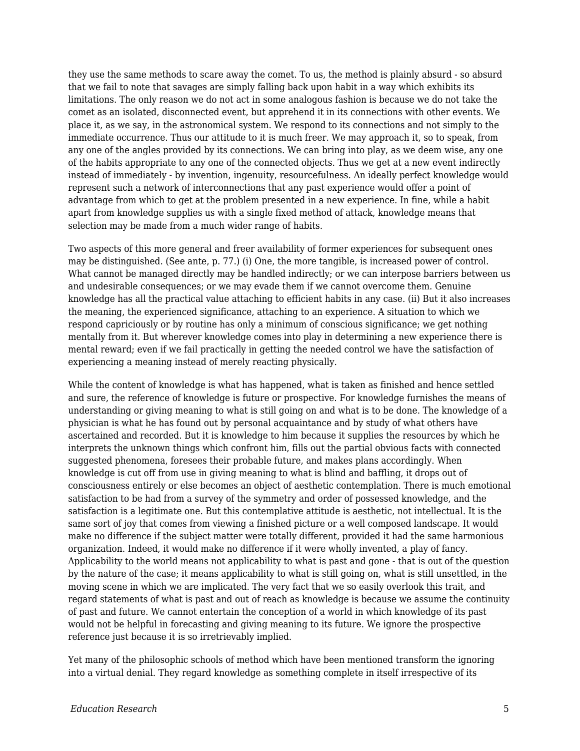they use the same methods to scare away the comet. To us, the method is plainly absurd - so absurd that we fail to note that savages are simply falling back upon habit in a way which exhibits its limitations. The only reason we do not act in some analogous fashion is because we do not take the comet as an isolated, disconnected event, but apprehend it in its connections with other events. We place it, as we say, in the astronomical system. We respond to its connections and not simply to the immediate occurrence. Thus our attitude to it is much freer. We may approach it, so to speak, from any one of the angles provided by its connections. We can bring into play, as we deem wise, any one of the habits appropriate to any one of the connected objects. Thus we get at a new event indirectly instead of immediately - by invention, ingenuity, resourcefulness. An ideally perfect knowledge would represent such a network of interconnections that any past experience would offer a point of advantage from which to get at the problem presented in a new experience. In fine, while a habit apart from knowledge supplies us with a single fixed method of attack, knowledge means that selection may be made from a much wider range of habits.

Two aspects of this more general and freer availability of former experiences for subsequent ones may be distinguished. (See ante, p. 77.) (i) One, the more tangible, is increased power of control. What cannot be managed directly may be handled indirectly; or we can interpose barriers between us and undesirable consequences; or we may evade them if we cannot overcome them. Genuine knowledge has all the practical value attaching to efficient habits in any case. (ii) But it also increases the meaning, the experienced significance, attaching to an experience. A situation to which we respond capriciously or by routine has only a minimum of conscious significance; we get nothing mentally from it. But wherever knowledge comes into play in determining a new experience there is mental reward; even if we fail practically in getting the needed control we have the satisfaction of experiencing a meaning instead of merely reacting physically.

While the content of knowledge is what has happened, what is taken as finished and hence settled and sure, the reference of knowledge is future or prospective. For knowledge furnishes the means of understanding or giving meaning to what is still going on and what is to be done. The knowledge of a physician is what he has found out by personal acquaintance and by study of what others have ascertained and recorded. But it is knowledge to him because it supplies the resources by which he interprets the unknown things which confront him, fills out the partial obvious facts with connected suggested phenomena, foresees their probable future, and makes plans accordingly. When knowledge is cut off from use in giving meaning to what is blind and baffling, it drops out of consciousness entirely or else becomes an object of aesthetic contemplation. There is much emotional satisfaction to be had from a survey of the symmetry and order of possessed knowledge, and the satisfaction is a legitimate one. But this contemplative attitude is aesthetic, not intellectual. It is the same sort of joy that comes from viewing a finished picture or a well composed landscape. It would make no difference if the subject matter were totally different, provided it had the same harmonious organization. Indeed, it would make no difference if it were wholly invented, a play of fancy. Applicability to the world means not applicability to what is past and gone - that is out of the question by the nature of the case; it means applicability to what is still going on, what is still unsettled, in the moving scene in which we are implicated. The very fact that we so easily overlook this trait, and regard statements of what is past and out of reach as knowledge is because we assume the continuity of past and future. We cannot entertain the conception of a world in which knowledge of its past would not be helpful in forecasting and giving meaning to its future. We ignore the prospective reference just because it is so irretrievably implied.

Yet many of the philosophic schools of method which have been mentioned transform the ignoring into a virtual denial. They regard knowledge as something complete in itself irrespective of its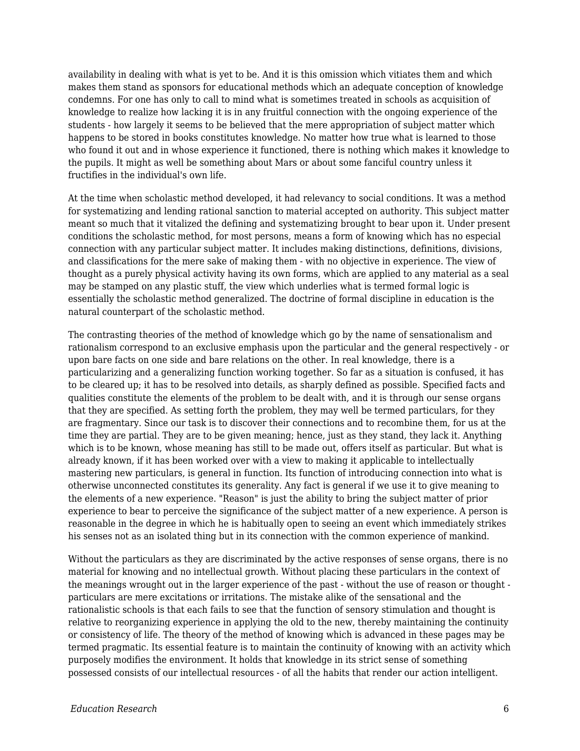availability in dealing with what is yet to be. And it is this omission which vitiates them and which makes them stand as sponsors for educational methods which an adequate conception of knowledge condemns. For one has only to call to mind what is sometimes treated in schools as acquisition of knowledge to realize how lacking it is in any fruitful connection with the ongoing experience of the students - how largely it seems to be believed that the mere appropriation of subject matter which happens to be stored in books constitutes knowledge. No matter how true what is learned to those who found it out and in whose experience it functioned, there is nothing which makes it knowledge to the pupils. It might as well be something about Mars or about some fanciful country unless it fructifies in the individual's own life.

At the time when scholastic method developed, it had relevancy to social conditions. It was a method for systematizing and lending rational sanction to material accepted on authority. This subject matter meant so much that it vitalized the defining and systematizing brought to bear upon it. Under present conditions the scholastic method, for most persons, means a form of knowing which has no especial connection with any particular subject matter. It includes making distinctions, definitions, divisions, and classifications for the mere sake of making them - with no objective in experience. The view of thought as a purely physical activity having its own forms, which are applied to any material as a seal may be stamped on any plastic stuff, the view which underlies what is termed formal logic is essentially the scholastic method generalized. The doctrine of formal discipline in education is the natural counterpart of the scholastic method.

The contrasting theories of the method of knowledge which go by the name of sensationalism and rationalism correspond to an exclusive emphasis upon the particular and the general respectively - or upon bare facts on one side and bare relations on the other. In real knowledge, there is a particularizing and a generalizing function working together. So far as a situation is confused, it has to be cleared up; it has to be resolved into details, as sharply defined as possible. Specified facts and qualities constitute the elements of the problem to be dealt with, and it is through our sense organs that they are specified. As setting forth the problem, they may well be termed particulars, for they are fragmentary. Since our task is to discover their connections and to recombine them, for us at the time they are partial. They are to be given meaning; hence, just as they stand, they lack it. Anything which is to be known, whose meaning has still to be made out, offers itself as particular. But what is already known, if it has been worked over with a view to making it applicable to intellectually mastering new particulars, is general in function. Its function of introducing connection into what is otherwise unconnected constitutes its generality. Any fact is general if we use it to give meaning to the elements of a new experience. "Reason" is just the ability to bring the subject matter of prior experience to bear to perceive the significance of the subject matter of a new experience. A person is reasonable in the degree in which he is habitually open to seeing an event which immediately strikes his senses not as an isolated thing but in its connection with the common experience of mankind.

Without the particulars as they are discriminated by the active responses of sense organs, there is no material for knowing and no intellectual growth. Without placing these particulars in the context of the meanings wrought out in the larger experience of the past - without the use of reason or thought particulars are mere excitations or irritations. The mistake alike of the sensational and the rationalistic schools is that each fails to see that the function of sensory stimulation and thought is relative to reorganizing experience in applying the old to the new, thereby maintaining the continuity or consistency of life. The theory of the method of knowing which is advanced in these pages may be termed pragmatic. Its essential feature is to maintain the continuity of knowing with an activity which purposely modifies the environment. It holds that knowledge in its strict sense of something possessed consists of our intellectual resources - of all the habits that render our action intelligent.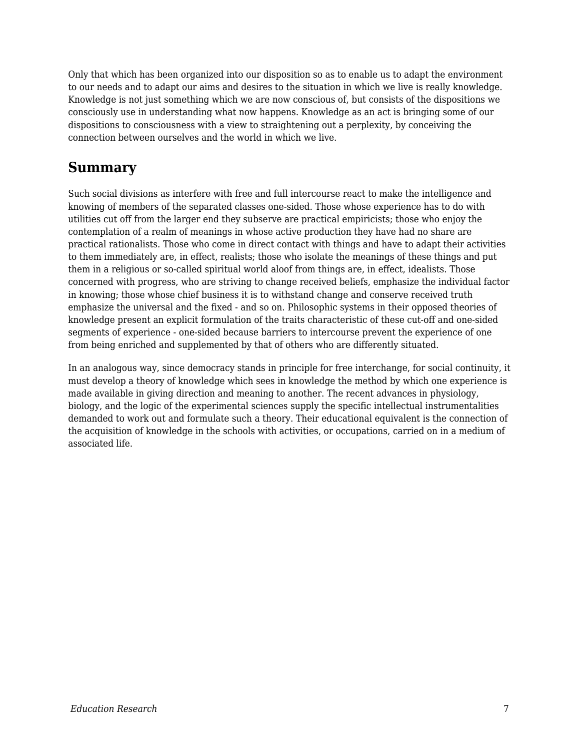Only that which has been organized into our disposition so as to enable us to adapt the environment to our needs and to adapt our aims and desires to the situation in which we live is really knowledge. Knowledge is not just something which we are now conscious of, but consists of the dispositions we consciously use in understanding what now happens. Knowledge as an act is bringing some of our dispositions to consciousness with a view to straightening out a perplexity, by conceiving the connection between ourselves and the world in which we live.

## **Summary**

Such social divisions as interfere with free and full intercourse react to make the intelligence and knowing of members of the separated classes one-sided. Those whose experience has to do with utilities cut off from the larger end they subserve are practical empiricists; those who enjoy the contemplation of a realm of meanings in whose active production they have had no share are practical rationalists. Those who come in direct contact with things and have to adapt their activities to them immediately are, in effect, realists; those who isolate the meanings of these things and put them in a religious or so-called spiritual world aloof from things are, in effect, idealists. Those concerned with progress, who are striving to change received beliefs, emphasize the individual factor in knowing; those whose chief business it is to withstand change and conserve received truth emphasize the universal and the fixed - and so on. Philosophic systems in their opposed theories of knowledge present an explicit formulation of the traits characteristic of these cut-off and one-sided segments of experience - one-sided because barriers to intercourse prevent the experience of one from being enriched and supplemented by that of others who are differently situated.

In an analogous way, since democracy stands in principle for free interchange, for social continuity, it must develop a theory of knowledge which sees in knowledge the method by which one experience is made available in giving direction and meaning to another. The recent advances in physiology, biology, and the logic of the experimental sciences supply the specific intellectual instrumentalities demanded to work out and formulate such a theory. Their educational equivalent is the connection of the acquisition of knowledge in the schools with activities, or occupations, carried on in a medium of associated life.